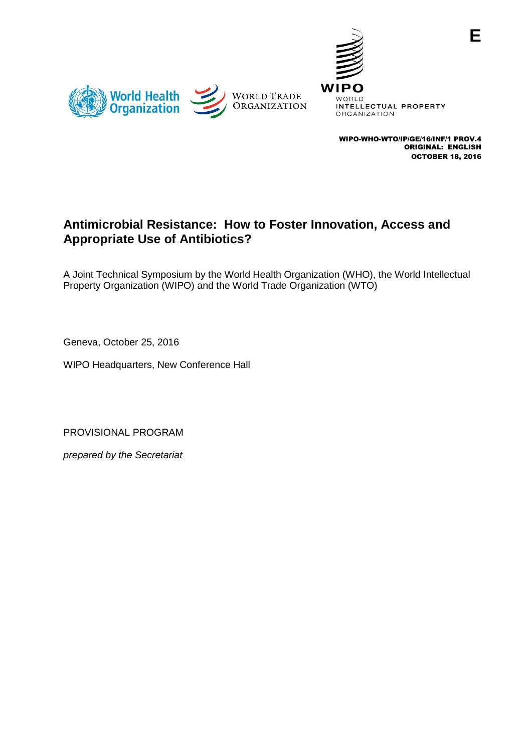



WIPO-WHO-WTO/IP/GE/16/INF/1 PROV.4 ORIGINAL: ENGLISH OCTOBER 18, 2016

**E**

## **Antimicrobial Resistance: How to Foster Innovation, Access and Appropriate Use of Antibiotics?**

A Joint Technical Symposium by the World Health Organization (WHO), the World Intellectual Property Organization (WIPO) and the World Trade Organization (WTO)

Geneva, October 25, 2016

WIPO Headquarters, New Conference Hall

PROVISIONAL PROGRAM

*prepared by the Secretariat*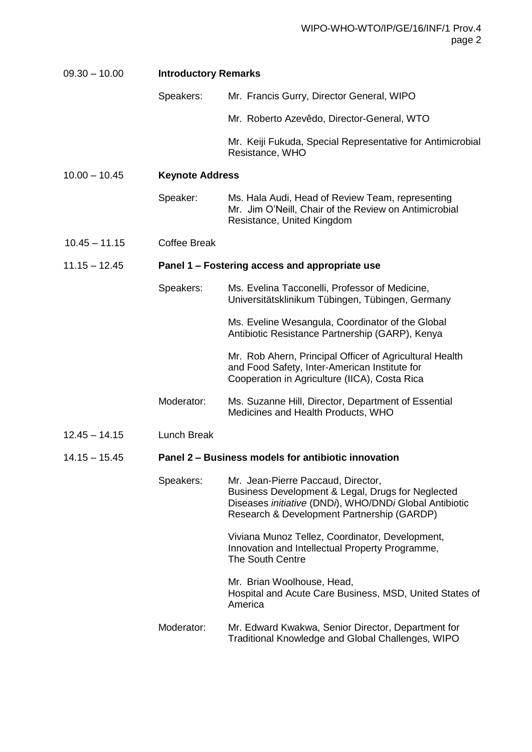| $09.30 - 10.00$ | <b>Introductory Remarks</b>                         |                                                                                                                                                                                                 |
|-----------------|-----------------------------------------------------|-------------------------------------------------------------------------------------------------------------------------------------------------------------------------------------------------|
|                 | Speakers:                                           | Mr. Francis Gurry, Director General, WIPO                                                                                                                                                       |
|                 |                                                     | Mr. Roberto Azevêdo, Director-General, WTO                                                                                                                                                      |
|                 |                                                     | Mr. Keiji Fukuda, Special Representative for Antimicrobial<br>Resistance, WHO                                                                                                                   |
| $10.00 - 10.45$ | <b>Keynote Address</b>                              |                                                                                                                                                                                                 |
|                 | Speaker:                                            | Ms. Hala Audi, Head of Review Team, representing<br>Mr. Jim O'Neill, Chair of the Review on Antimicrobial<br>Resistance, United Kingdom                                                         |
| $10.45 - 11.15$ | <b>Coffee Break</b>                                 |                                                                                                                                                                                                 |
| $11.15 - 12.45$ | Panel 1 – Fostering access and appropriate use      |                                                                                                                                                                                                 |
|                 | Speakers:                                           | Ms. Evelina Tacconelli, Professor of Medicine,<br>Universitätsklinikum Tübingen, Tübingen, Germany                                                                                              |
|                 |                                                     | Ms. Eveline Wesangula, Coordinator of the Global<br>Antibiotic Resistance Partnership (GARP), Kenya                                                                                             |
|                 |                                                     | Mr. Rob Ahern, Principal Officer of Agricultural Health<br>and Food Safety, Inter-American Institute for<br>Cooperation in Agriculture (IICA), Costa Rica                                       |
|                 | Moderator:                                          | Ms. Suzanne Hill, Director, Department of Essential<br>Medicines and Health Products, WHO                                                                                                       |
| $12.45 - 14.15$ | Lunch Break                                         |                                                                                                                                                                                                 |
| $14.15 - 15.45$ | Panel 2 – Business models for antibiotic innovation |                                                                                                                                                                                                 |
|                 | Speakers:                                           | Mr. Jean-Pierre Paccaud, Director,<br>Business Development & Legal, Drugs for Neglected<br>Diseases initiative (DNDi), WHO/DNDi Global Antibiotic<br>Research & Development Partnership (GARDP) |
|                 |                                                     | Viviana Munoz Tellez, Coordinator, Development,<br>Innovation and Intellectual Property Programme,<br><b>The South Centre</b>                                                                   |
|                 |                                                     | Mr. Brian Woolhouse, Head,<br>Hospital and Acute Care Business, MSD, United States of<br>America                                                                                                |
|                 | Moderator:                                          | Mr. Edward Kwakwa, Senior Director, Department for<br>Traditional Knowledge and Global Challenges, WIPO                                                                                         |